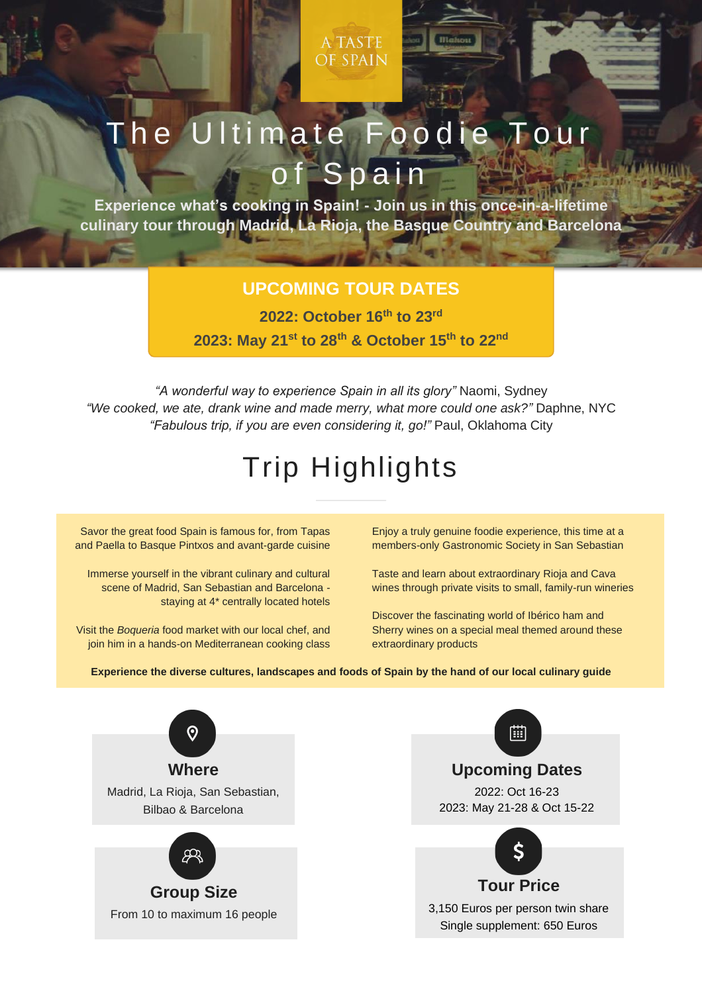A TASTE **OF SPAIN** 

# The Ultimate Foodie Tour of Spain

**Experience what's cooking in Spain! - Join us in this once-in-a-lifetime culinary tour through Madrid, La Rioja, the Basque Country and Barcelona**

### **UPCOMING TOUR DATES**

**2022: October 16th to 23rd**

**2023: May 21st to 28th & October 15th to 22nd**

*"A wonderful way to experience Spain in all its glory"* Naomi, Sydney *"We cooked, we ate, drank wine and made merry, what more could one ask?"* Daphne, NYC *"Fabulous trip, if you are even considering it, go!"* Paul, Oklahoma City

# Trip Highlights

Savor the great food Spain is famous for, from Tapas and Paella to Basque Pintxos and avant-garde cuisine

Immerse yourself in the vibrant culinary and cultural scene of Madrid, San Sebastian and Barcelona staying at 4\* centrally located hotels

Visit the *Boqueria* food market with our local chef, and join him in a hands-on Mediterranean cooking class

Enjoy a truly genuine foodie experience, this time at a members-only Gastronomic Society in San Sebastian

Taste and learn about extraordinary Rioja and Cava wines through private visits to small, family-run wineries

Discover the fascinating world of Ibérico ham and Sherry wines on a special meal themed around these extraordinary products

**Experience the diverse cultures, landscapes and foods of Spain by the hand of our local culinary guide**



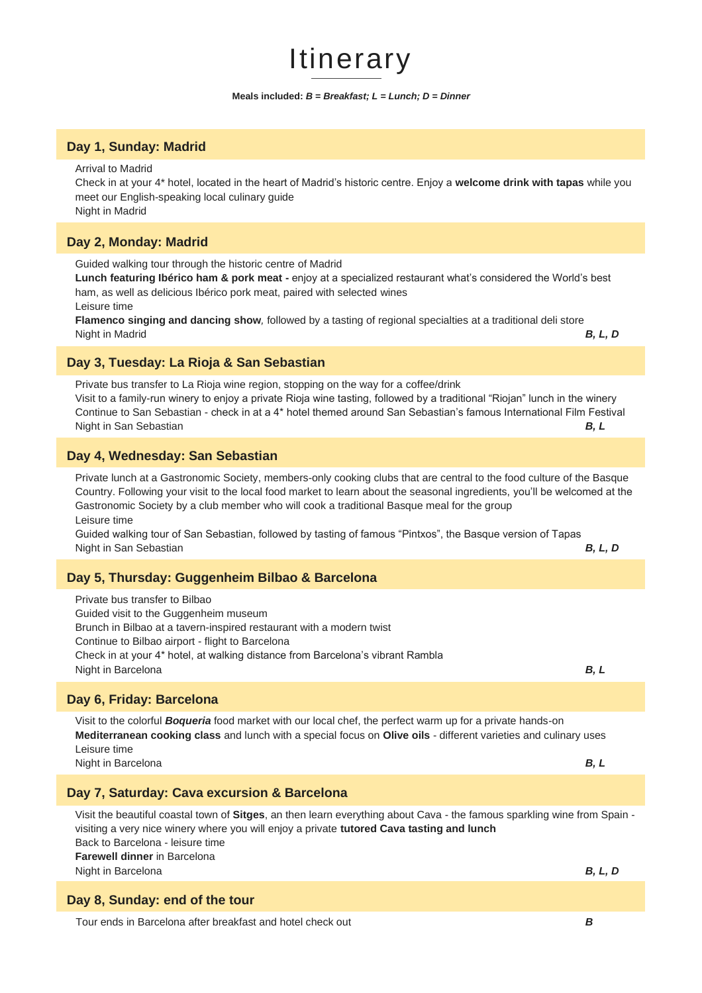## Itinerary

#### **Meals included:** *B = Breakfast; L = Lunch; D = Dinner*

#### **Day 1, Sunday: Madrid**

Arrival to Madrid

Check in at your 4\* hotel, located in the heart of Madrid's historic centre. Enjoy a **welcome drink with tapas** while you meet our English-speaking local culinary guide Night in Madrid

#### **Day 2, Monday: Madrid**

Guided walking tour through the historic centre of Madrid

**Lunch featuring Ibérico ham & pork meat -** enjoy at a specialized restaurant what's considered the World's best ham, as well as delicious Ibérico pork meat, paired with selected wines

Leisure time

**Flamenco singing and dancing show***,* followed by a tasting of regional specialties at a traditional deli store Night in Madrid *B, L, D*

#### **Day 3, Tuesday: La Rioja & San Sebastian**

Private bus transfer to La Rioja wine region, stopping on the way for a coffee/drink Visit to a family-run winery to enjoy a private Rioja wine tasting, followed by a traditional "Riojan" lunch in the winery Continue to San Sebastian - check in at a 4\* hotel themed around San Sebastian's famous International Film Festival Night in San Sebastian *B, L*

#### **Day 4, Wednesday: San Sebastian**

Private lunch at a Gastronomic Society, members-only cooking clubs that are central to the food culture of the Basque Country. Following your visit to the local food market to learn about the seasonal ingredients, you'll be welcomed at the Gastronomic Society by a club member who will cook a traditional Basque meal for the group Leisure time

Guided walking tour of San Sebastian, followed by tasting of famous "Pintxos", the Basque version of Tapas Night in San Sebastian *B, L, D*

#### **Day 5, Thursday: Guggenheim Bilbao & Barcelona**

Private bus transfer to Bilbao Guided visit to the Guggenheim museum Brunch in Bilbao at a tavern-inspired restaurant with a modern twist Continue to Bilbao airport - flight to Barcelona Check in at your 4\* hotel, at walking distance from Barcelona's vibrant Rambla Night in Barcelona *B, L*

#### **Day 6, Friday: Barcelona**

Visit to the colorful *Boqueria* food market with our local chef, the perfect warm up for a private hands-on **Mediterranean cooking class** and lunch with a special focus on **Olive oils** - different varieties and culinary uses Leisure time Night in Barcelona *B, L*

#### **Day 7, Saturday: Cava excursion & Barcelona**

Visit the beautiful coastal town of **Sitges**, an then learn everything about Cava - the famous sparkling wine from Spain visiting a very nice winery where you will enjoy a private **tutored Cava tasting and lunch** Back to Barcelona - leisure time **Farewell dinner** in Barcelona Night in Barcelona *B, L, D*

#### **Day 8, Sunday: end of the tour**

Tour ends in Barcelona after breakfast and hotel check out *B*